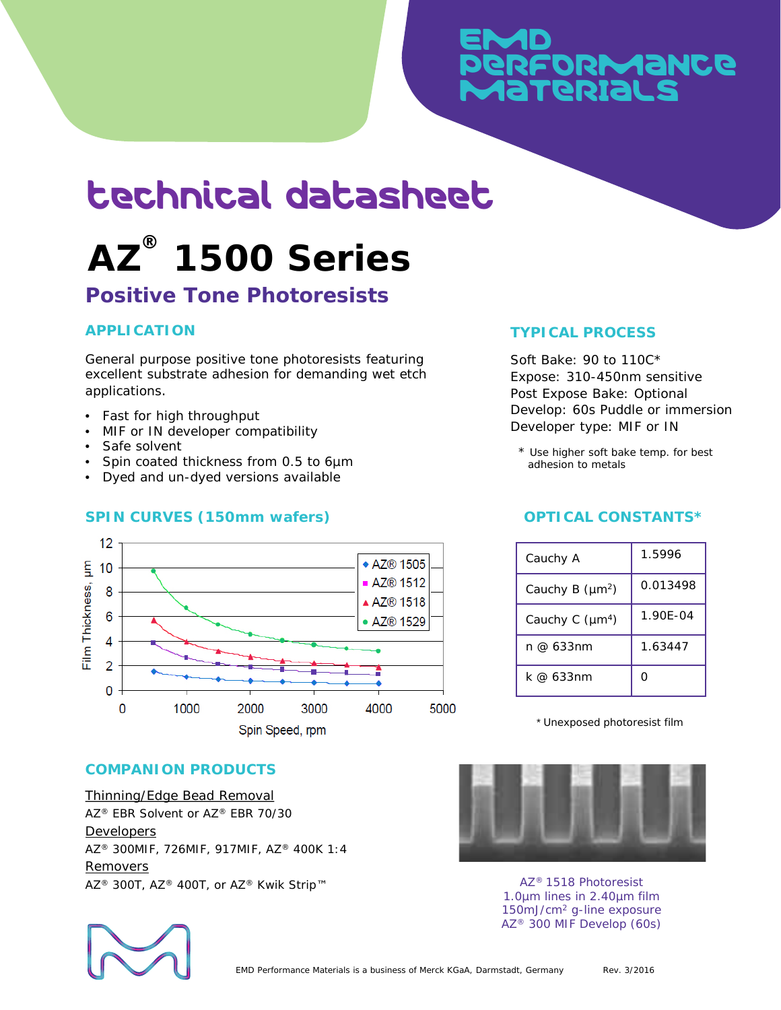# **EMD** PeRFoRmaNce MaTeRIaLs

# technical datasheet

# **AZ ® 1500 Series**

# **Positive Tone Photoresists**

# **APPLICATION**

General purpose positive tone photoresists featuring excellent substrate adhesion for demanding wet etch applications.

- Fast for high throughput
- MIF or IN developer compatibility
- Safe solvent
- Spin coated thickness from 0.5 to 6um
- Dyed and un-dyed versions available

## **SPIN CURVES (150mm wafers)**



#### Develop: 60s Puddle or immersion Developer type: MIF or IN

Expose: 310-450nm sensitive Post Expose Bake: Optional

**TYPICAL PROCESS**

Soft Bake: 90 to 110C\*

\* Use higher soft bake temp. for best adhesion to metals

## **OPTICAL CONSTANTS\***

| Cauchy A                    | 1.5996   |
|-----------------------------|----------|
| Cauchy B (µm <sup>2</sup> ) | 0.013498 |
| Cauchy C (µm <sup>4</sup> ) | 1.90E-04 |
| n @ 633nm                   | 1.63447  |
| k @ 633nm                   | ∩        |

\* Unexposed photoresist film

## **COMPANION PRODUCTS**

Thinning/Edge Bead Removal AZ® EBR Solvent or AZ® EBR 70/30 Developers AZ® 300MIF, 726MIF, 917MIF, AZ® 400K 1:4 Removers AZ<sup>®</sup> 300T, AZ<sup>®</sup> 400T, or AZ<sup>®</sup> Kwik Strip™ AZ<sup>®</sup> 1518 Photoresist



1.0µm lines in 2.40µm film 150mJ/cm2 g-line exposure AZ® 300 MIF Develop (60s)

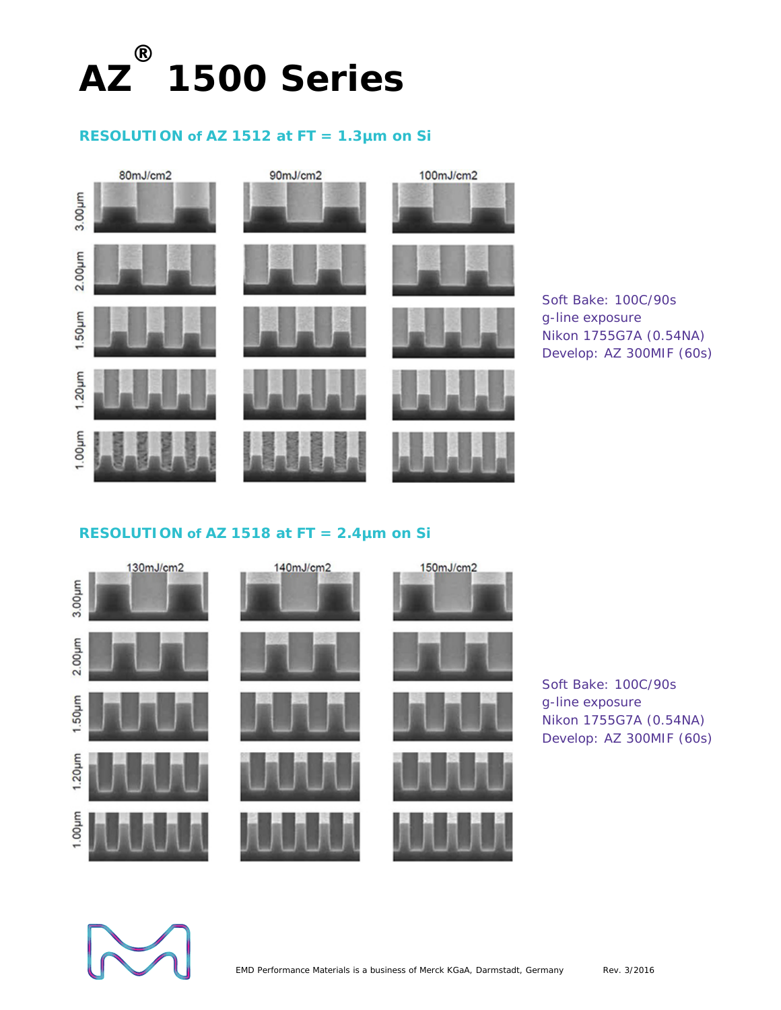

## **RESOLUTION of AZ 1512 at FT = 1.3µm on Si**



## **RESOLUTION of AZ 1518 at FT = 2.4µm on Si**



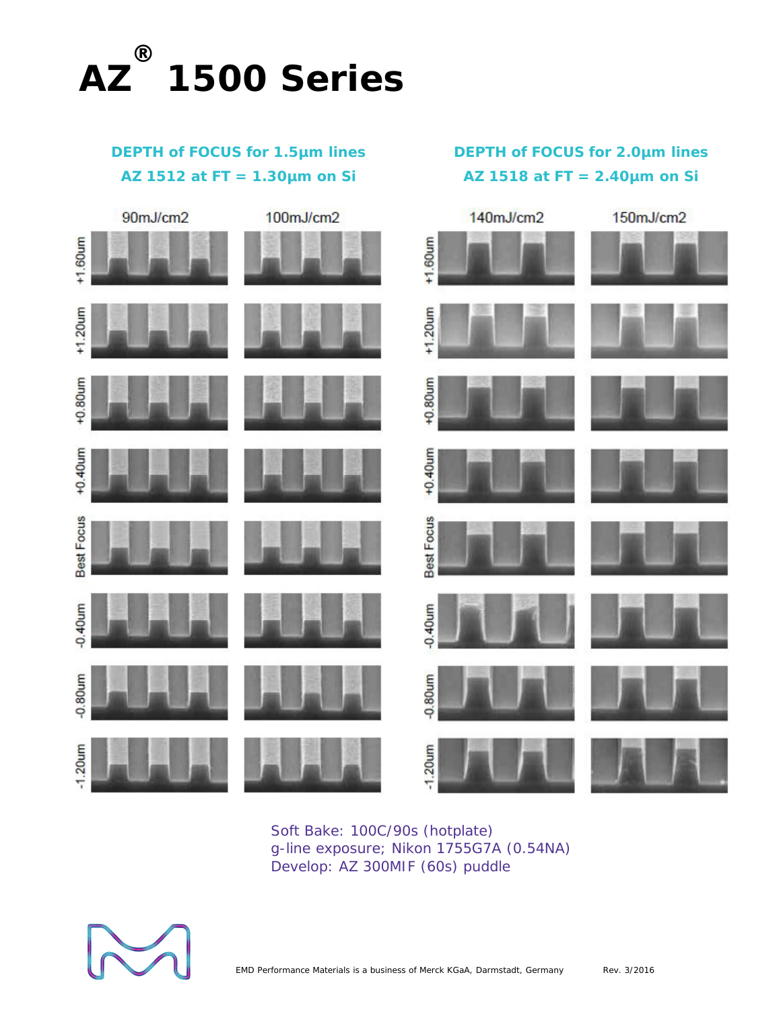

# **DEPTH of FOCUS for 1.5µm lines AZ 1512 at FT = 1.30µm on Si**

**DEPTH of FOCUS for 2.0µm lines AZ 1518 at FT = 2.40µm on Si** 



Soft Bake: 100C/90s (hotplate) g-line exposure; Nikon 1755G7A (0.54NA) Develop: AZ 300MIF (60s) puddle

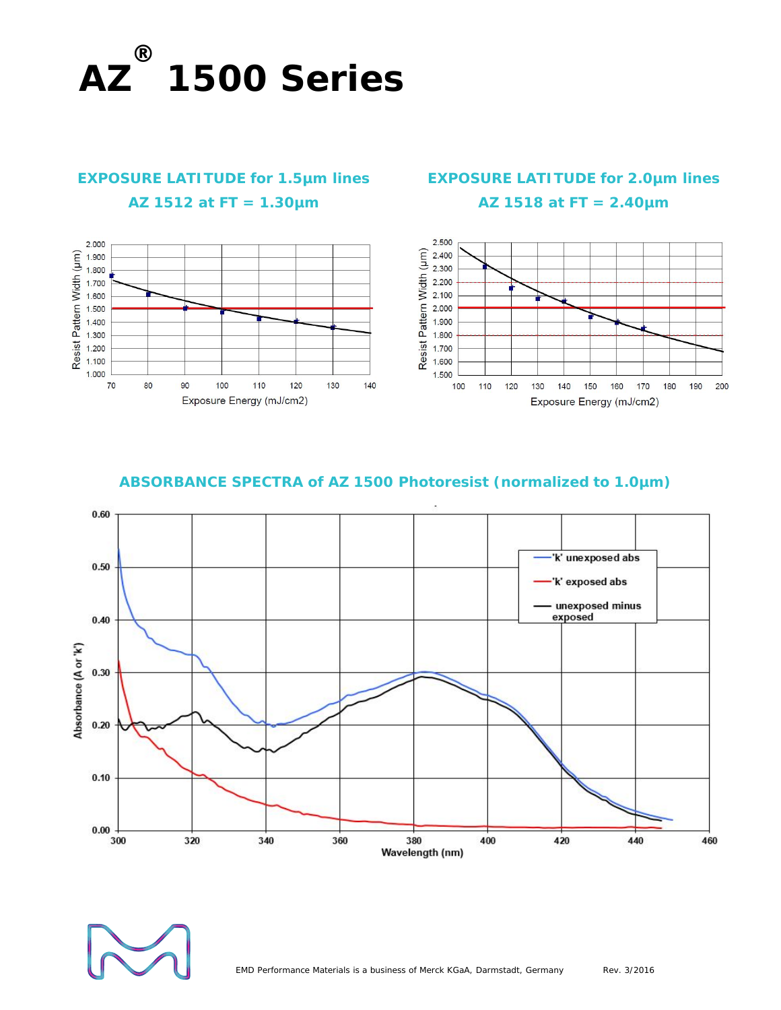

# **EXPOSURE LATITUDE for 1.5µm lines AZ 1512 at FT = 1.30µm**



# **EXPOSURE LATITUDE for 2.0µm lines AZ 1518 at FT = 2.40µm**



### **ABSORBANCE SPECTRA of AZ 1500 Photoresist (normalized to 1.0µm)**

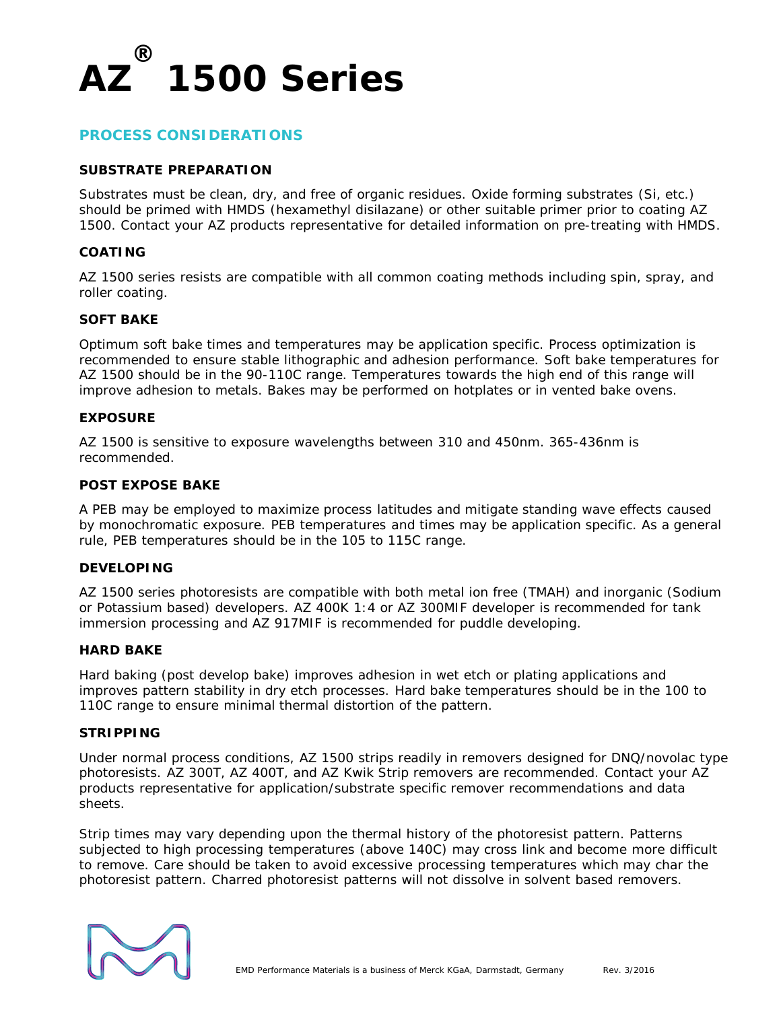

#### **PROCESS CONSIDERATIONS**

#### **SUBSTRATE PREPARATION**

Substrates must be clean, dry, and free of organic residues. Oxide forming substrates (Si, etc.) should be primed with HMDS (hexamethyl disilazane) or other suitable primer prior to coating AZ 1500. Contact your AZ products representative for detailed information on pre-treating with HMDS.

#### **COATING**

AZ 1500 series resists are compatible with all common coating methods including spin, spray, and roller coating.

#### **SOFT BAKE**

Optimum soft bake times and temperatures may be application specific. Process optimization is recommended to ensure stable lithographic and adhesion performance. Soft bake temperatures for AZ 1500 should be in the 90-110C range. Temperatures towards the high end of this range will improve adhesion to metals. Bakes may be performed on hotplates or in vented bake ovens.

#### **EXPOSURE**

AZ 1500 is sensitive to exposure wavelengths between 310 and 450nm. 365-436nm is recommended.

#### **POST EXPOSE BAKE**

A PEB may be employed to maximize process latitudes and mitigate standing wave effects caused by monochromatic exposure. PEB temperatures and times may be application specific. As a general rule, PEB temperatures should be in the 105 to 115C range.

#### **DEVELOPING**

AZ 1500 series photoresists are compatible with both metal ion free (TMAH) and inorganic (Sodium or Potassium based) developers. AZ 400K 1:4 or AZ 300MIF developer is recommended for tank immersion processing and AZ 917MIF is recommended for puddle developing.

#### **HARD BAKE**

Hard baking (post develop bake) improves adhesion in wet etch or plating applications and improves pattern stability in dry etch processes. Hard bake temperatures should be in the 100 to 110C range to ensure minimal thermal distortion of the pattern.

#### **STRIPPING**

Under normal process conditions, AZ 1500 strips readily in removers designed for DNQ/novolac type photoresists. AZ 300T, AZ 400T, and AZ Kwik Strip removers are recommended. Contact your AZ products representative for application/substrate specific remover recommendations and data sheets.

Strip times may vary depending upon the thermal history of the photoresist pattern. Patterns subjected to high processing temperatures (above 140C) may cross link and become more difficult to remove. Care should be taken to avoid excessive processing temperatures which may char the photoresist pattern. Charred photoresist patterns will not dissolve in solvent based removers.